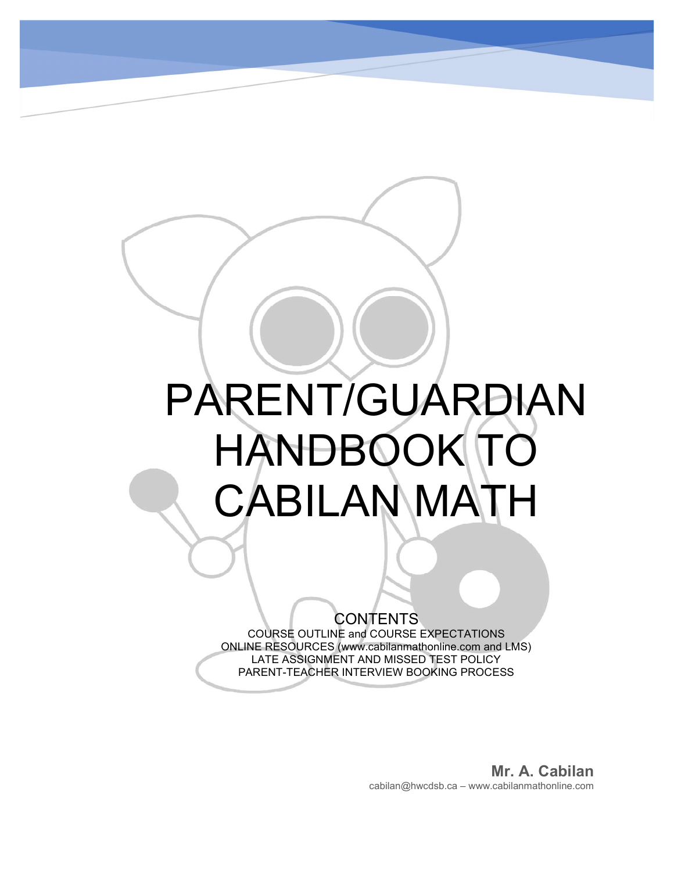# PARENT/GUARDIAN HANDBOOK TO CABILAN MATH

# **CONTENTS**

 $\begin{matrix} \phantom{-} \end{matrix}$ 

COURSE OUTLINE and COURSE EXPECTATIONS ONLINE RESOURCES (www.cabilanmathonline.com and LMS) LATE ASSIGNMENT AND MISSED TEST POLICY PARENT-TEACHER INTERVIEW BOOKING PROCESS

> Mr. A. Cabilan cabilan@hwcdsb.ca – www.cabilanmathonline.com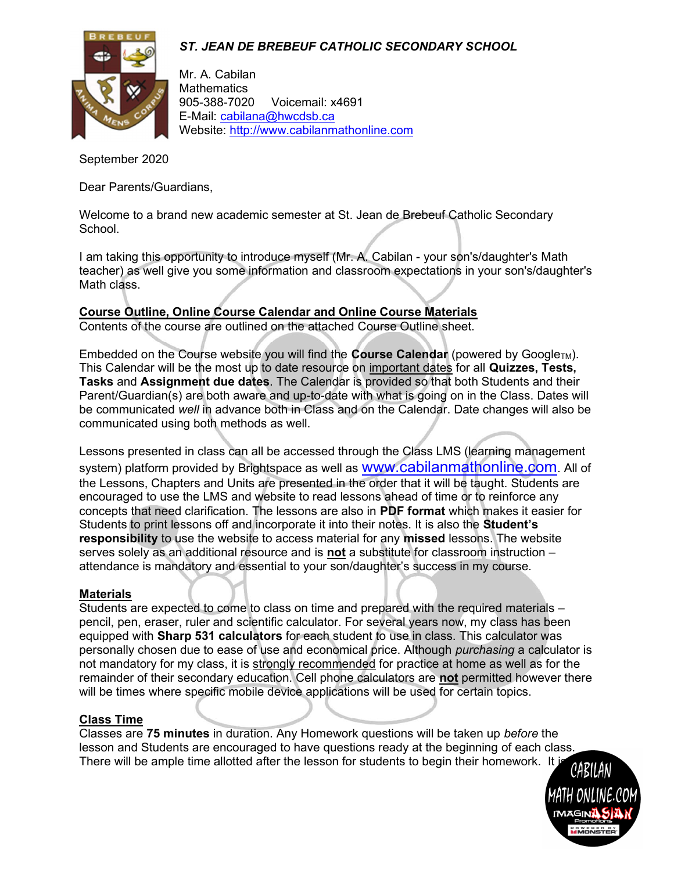

Mr. A. Cabilan **Mathematics** 905-388-7020 Voicemail: x4691 E-Mail: cabilana@hwcdsb.ca Website: http://www.cabilanmathonline.com

September 2020

Dear Parents/Guardians,

Welcome to a brand new academic semester at St. Jean de Brebeuf Catholic Secondary School.

I am taking this opportunity to introduce myself (Mr. A. Cabilan - your son's/daughter's Math teacher) as well give you some information and classroom expectations in your son's/daughter's Math class.

# Course Outline, Online Course Calendar and Online Course Materials

Contents of the course are outlined on the attached Course Outline sheet.

Embedded on the Course website you will find the **Course Calendar** (powered by Google<sub>TM</sub>). This Calendar will be the most up to date resource on important dates for all Quizzes, Tests, Tasks and Assignment due dates. The Calendar is provided so that both Students and their Parent/Guardian(s) are both aware and up-to-date with what is going on in the Class. Dates will be communicated well in advance both in Class and on the Calendar. Date changes will also be communicated using both methods as well.

Lessons presented in class can all be accessed through the Class LMS (learning management system) platform provided by Brightspace as well as **WWW.cabilanmathonline.com**. All of the Lessons, Chapters and Units are presented in the order that it will be taught. Students are encouraged to use the LMS and website to read lessons ahead of time or to reinforce any concepts that need clarification. The lessons are also in PDF format which makes it easier for Students to print lessons off and incorporate it into their notes. It is also the **Student's** responsibility to use the website to access material for any missed lessons. The website serves solely as an additional resource and is not a substitute for classroom instruction – attendance is mandatory and essential to your son/daughter's success in my course.

#### Materials

Students are expected to come to class on time and prepared with the required materials – pencil, pen, eraser, ruler and scientific calculator. For several years now, my class has been equipped with Sharp 531 calculators for each student to use in class. This calculator was personally chosen due to ease of use and economical price. Although purchasing a calculator is not mandatory for my class, it is strongly recommended for practice at home as well as for the remainder of their secondary education. Cell phone calculators are not permitted however there will be times where specific mobile device applications will be used for certain topics.

#### Class Time

Classes are 75 minutes in duration. Any Homework questions will be taken up before the lesson and Students are encouraged to have questions ready at the beginning of each class. There will be ample time allotted after the lesson for students to begin their homework. It is *CARILAN* 

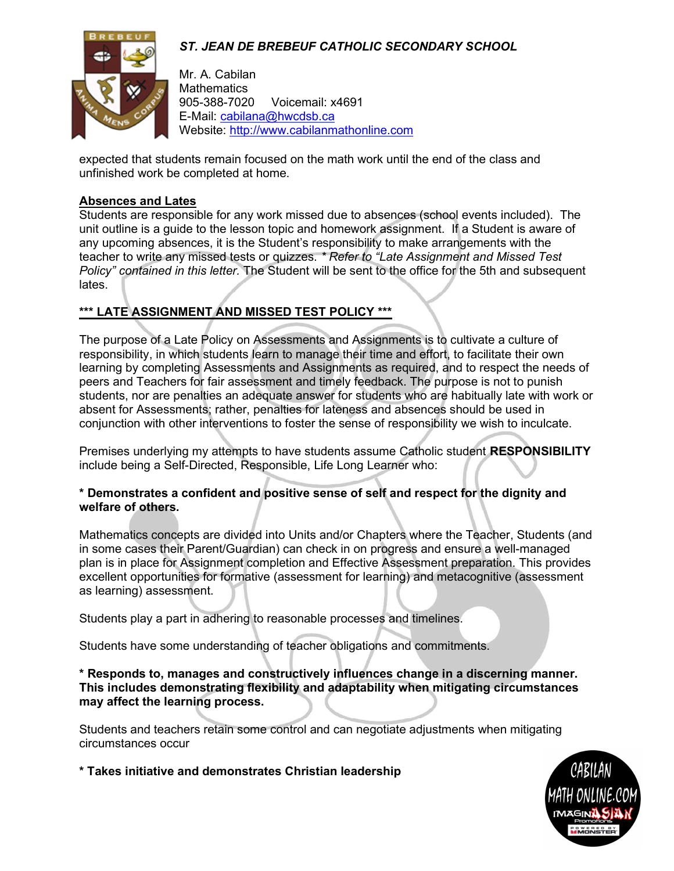

Mr. A. Cabilan **Mathematics** 905-388-7020 Voicemail: x4691 E-Mail: cabilana@hwcdsb.ca Website: http://www.cabilanmathonline.com

expected that students remain focused on the math work until the end of the class and unfinished work be completed at home.

#### Absences and Lates

Students are responsible for any work missed due to absences (school events included). The unit outline is a guide to the lesson topic and homework assignment. If a Student is aware of any upcoming absences, it is the Student's responsibility to make arrangements with the teacher to write any missed tests or quizzes. \* Refer to "Late Assignment and Missed Test Policy" contained in this letter. The Student will be sent to the office for the 5th and subsequent lates.

# \*\*\* LATE ASSIGNMENT AND MISSED TEST POLICY \*\*\*

The purpose of a Late Policy on Assessments and Assignments is to cultivate a culture of responsibility, in which students learn to manage their time and effort, to facilitate their own learning by completing Assessments and Assignments as required, and to respect the needs of peers and Teachers for fair assessment and timely feedback. The purpose is not to punish students, nor are penalties an adequate answer for students who are habitually late with work or absent for Assessments; rather, penalties for lateness and absences should be used in conjunction with other interventions to foster the sense of responsibility we wish to inculcate.

Premises underlying my attempts to have students assume Catholic student RESPONSIBILITY include being a Self-Directed, Responsible, Life Long Learner who:

#### \* Demonstrates a confident and positive sense of self and respect for the dignity and welfare of others.

Mathematics concepts are divided into Units and/or Chapters where the Teacher, Students (and in some cases their Parent/Guardian) can check in on progress and ensure a well-managed plan is in place for Assignment completion and Effective Assessment preparation. This provides excellent opportunities for formative (assessment for learning) and metacognitive (assessment as learning) assessment.

Students play a part in adhering to reasonable processes and timelines.

Students have some understanding of teacher obligations and commitments.

\* Responds to, manages and constructively influences change in a discerning manner. This includes demonstrating flexibility and adaptability when mitigating circumstances may affect the learning process.

Students and teachers retain some control and can negotiate adjustments when mitigating circumstances occur

\* Takes initiative and demonstrates Christian leadership

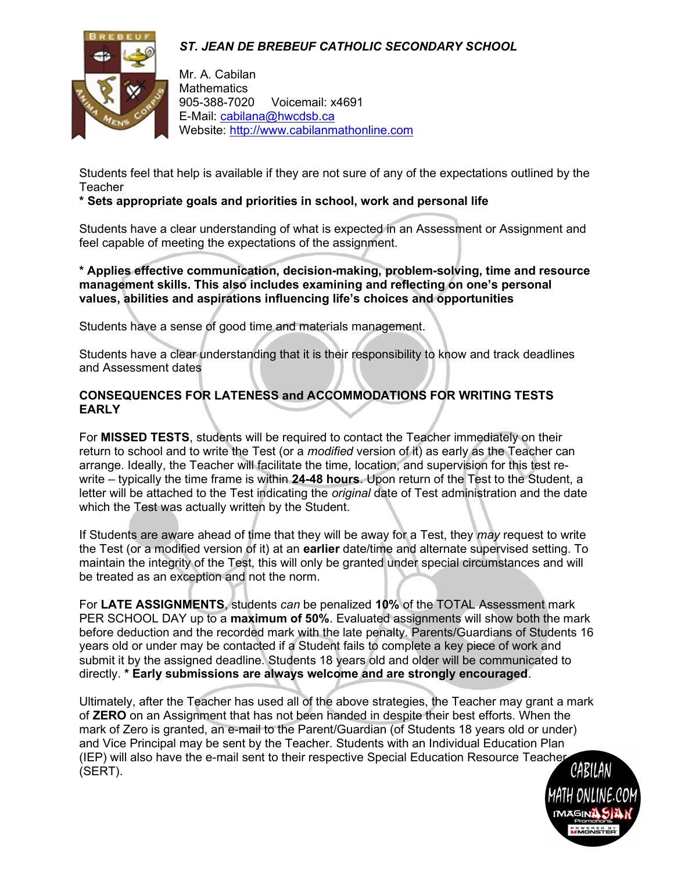

Mr. A. Cabilan **Mathematics** 905-388-7020 Voicemail: x4691 E-Mail: cabilana@hwcdsb.ca Website: http://www.cabilanmathonline.com

Students feel that help is available if they are not sure of any of the expectations outlined by the **Teacher** 

#### \* Sets appropriate goals and priorities in school, work and personal life

Students have a clear understanding of what is expected in an Assessment or Assignment and feel capable of meeting the expectations of the assignment.

\* Applies effective communication, decision-making, problem-solving, time and resource management skills. This also includes examining and reflecting on one's personal values, abilities and aspirations influencing life's choices and opportunities

Students have a sense of good time and materials management.

Students have a clear understanding that it is their responsibility to know and track deadlines and Assessment dates

#### CONSEQUENCES FOR LATENESS and ACCOMMODATIONS FOR WRITING TESTS EARLY

For MISSED TESTS, students will be required to contact the Teacher immediately on their return to school and to write the Test (or a modified version of it) as early as the Teacher can arrange. Ideally, the Teacher will facilitate the time, location, and supervision for this test rewrite – typically the time frame is within 24-48 hours. Upon return of the Test to the Student, a letter will be attached to the Test indicating the *original* date of Test administration and the date which the Test was actually written by the Student.

If Students are aware ahead of time that they will be away for a Test, they may request to write the Test (or a modified version of it) at an **earlier** date/time and alternate supervised setting. To maintain the integrity of the Test, this will only be granted under special circumstances and will be treated as an exception and not the norm.

For LATE ASSIGNMENTS, students can be penalized 10% of the TOTAL Assessment mark PER SCHOOL DAY up to a **maximum of 50%**. Evaluated assignments will show both the mark before deduction and the recorded mark with the late penalty. Parents/Guardians of Students 16 years old or under may be contacted if a Student fails to complete a key piece of work and submit it by the assigned deadline. Students 18 years old and older will be communicated to directly. \* Early submissions are always welcome and are strongly encouraged.

Ultimately, after the Teacher has used all of the above strategies, the Teacher may grant a mark of ZERO on an Assignment that has not been handed in despite their best efforts. When the mark of Zero is granted, an e-mail to the Parent/Guardian (of Students 18 years old or under) and Vice Principal may be sent by the Teacher. Students with an Individual Education Plan (IEP) will also have the e-mail sent to their respective Special Education Resource Teacher<br>(SERT). (SERT).